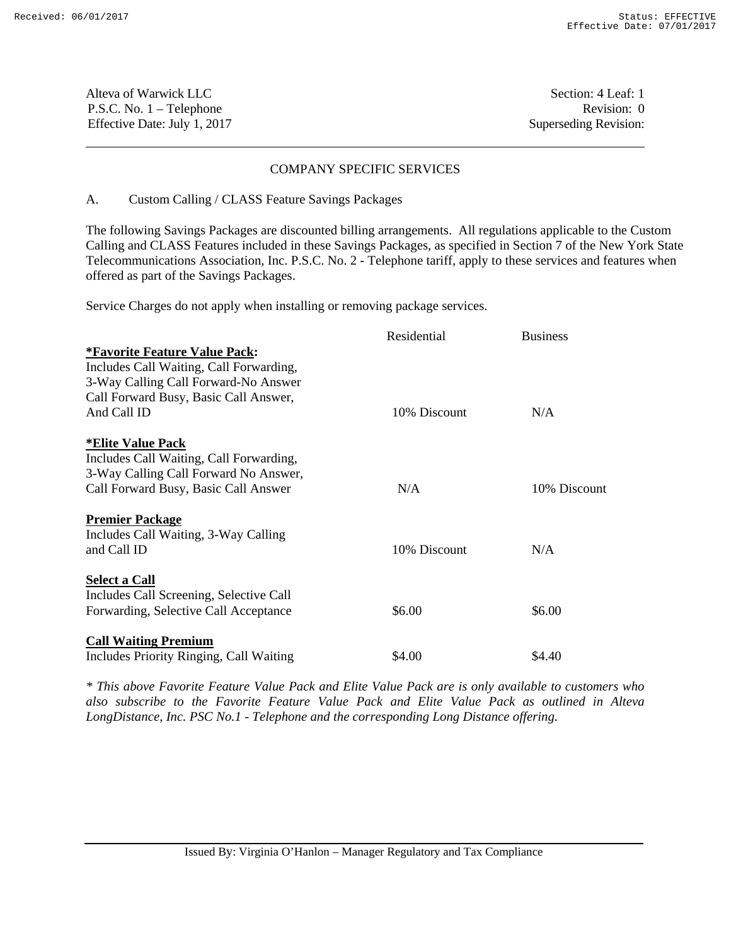| Alteva of Warwick LLC        | Section: 4 Leaf: 1    |
|------------------------------|-----------------------|
| $P.S.C. No. 1 - Telephone$   | Revision: 0           |
| Effective Date: July 1, 2017 | Superseding Revision: |

### COMPANY SPECIFIC SERVICES

#### A. Custom Calling / CLASS Feature Savings Packages

The following Savings Packages are discounted billing arrangements. All regulations applicable to the Custom Calling and CLASS Features included in these Savings Packages, as specified in Section 7 of the New York State Telecommunications Association, Inc. P.S.C. No. 2 - Telephone tariff, apply to these services and features when offered as part of the Savings Packages.

Service Charges do not apply when installing or removing package services.

|                                         | Residential  | <b>Business</b> |
|-----------------------------------------|--------------|-----------------|
| <i>*Favorite Feature Value Pack:</i>    |              |                 |
| Includes Call Waiting, Call Forwarding, |              |                 |
| 3-Way Calling Call Forward-No Answer    |              |                 |
| Call Forward Busy, Basic Call Answer,   |              |                 |
| And Call ID                             | 10% Discount | N/A             |
| <b>*Elite Value Pack</b>                |              |                 |
| Includes Call Waiting, Call Forwarding, |              |                 |
| 3-Way Calling Call Forward No Answer,   |              |                 |
| Call Forward Busy, Basic Call Answer    | N/A          | 10% Discount    |
| <b>Premier Package</b>                  |              |                 |
| Includes Call Waiting, 3-Way Calling    |              |                 |
| and Call ID                             | 10% Discount | N/A             |
| <b>Select a Call</b>                    |              |                 |
| Includes Call Screening, Selective Call |              |                 |
| Forwarding, Selective Call Acceptance   | \$6.00       | \$6.00          |
| <b>Call Waiting Premium</b>             |              |                 |
| Includes Priority Ringing, Call Waiting | \$4.00       | \$4.40          |

*\* This above Favorite Feature Value Pack and Elite Value Pack are is only available to customers who also subscribe to the Favorite Feature Value Pack and Elite Value Pack as outlined in Alteva LongDistance, Inc. PSC No.1 - Telephone and the corresponding Long Distance offering.*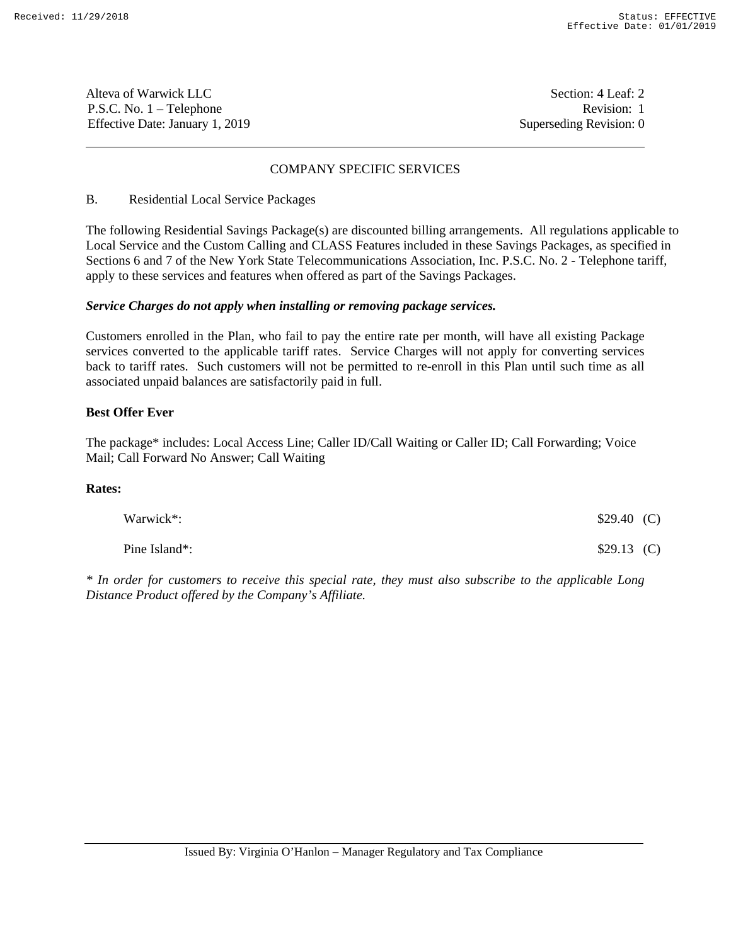Alteva of Warwick LLC Section: 4 Leaf: 2 P.S.C. No. 1 – Telephone Revision: 1 Effective Date: January 1, 2019 Superseding Revision: 0

# COMPANY SPECIFIC SERVICES

# B. Residential Local Service Packages

The following Residential Savings Package(s) are discounted billing arrangements. All regulations applicable to Local Service and the Custom Calling and CLASS Features included in these Savings Packages, as specified in Sections 6 and 7 of the New York State Telecommunications Association, Inc. P.S.C. No. 2 - Telephone tariff, apply to these services and features when offered as part of the Savings Packages.

# *Service Charges do not apply when installing or removing package services.*

Customers enrolled in the Plan, who fail to pay the entire rate per month, will have all existing Package services converted to the applicable tariff rates. Service Charges will not apply for converting services back to tariff rates. Such customers will not be permitted to re-enroll in this Plan until such time as all associated unpaid balances are satisfactorily paid in full.

# **Best Offer Ever**

The package\* includes: Local Access Line; Caller ID/Call Waiting or Caller ID; Call Forwarding; Voice Mail; Call Forward No Answer; Call Waiting

### **Rates:**

| Warwick*:     | \$29.40(C)   |  |
|---------------|--------------|--|
| Pine Island*: | $$29.13$ (C) |  |

*\* In order for customers to receive this special rate, they must also subscribe to the applicable Long Distance Product offered by the Company's Affiliate.*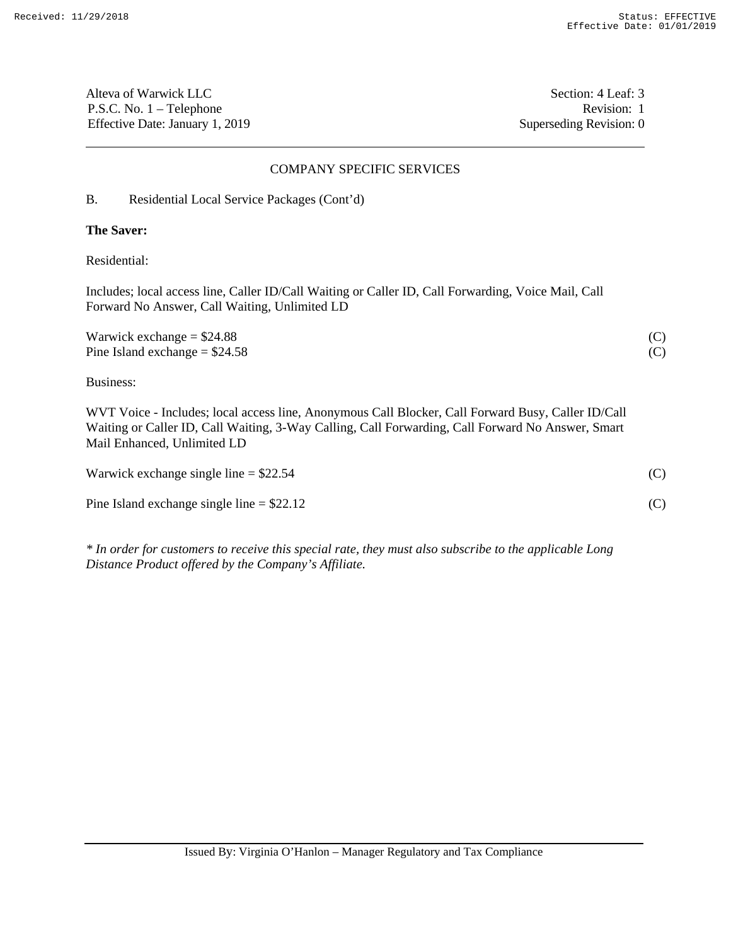Alteva of Warwick LLC Section: 4 Leaf: 3 P.S.C. No. 1 – Telephone Revision: 1 Effective Date: January 1, 2019 Superseding Revision: 0

### COMPANY SPECIFIC SERVICES

B. Residential Local Service Packages (Cont'd)

# **The Saver:**

Residential:

Includes; local access line, Caller ID/Call Waiting or Caller ID, Call Forwarding, Voice Mail, Call Forward No Answer, Call Waiting, Unlimited LD

| Warwick exchange $= $24.88$     |  |
|---------------------------------|--|
| Pine Island exchange $= $24.58$ |  |

Business:

WVT Voice - Includes; local access line, Anonymous Call Blocker, Call Forward Busy, Caller ID/Call Waiting or Caller ID, Call Waiting, 3-Way Calling, Call Forwarding, Call Forward No Answer, Smart Mail Enhanced, Unlimited LD

| Warwick exchange single line $= $22.54$     | (C) |
|---------------------------------------------|-----|
| Pine Island exchange single line $= $22.12$ |     |

*\* In order for customers to receive this special rate, they must also subscribe to the applicable Long Distance Product offered by the Company's Affiliate.*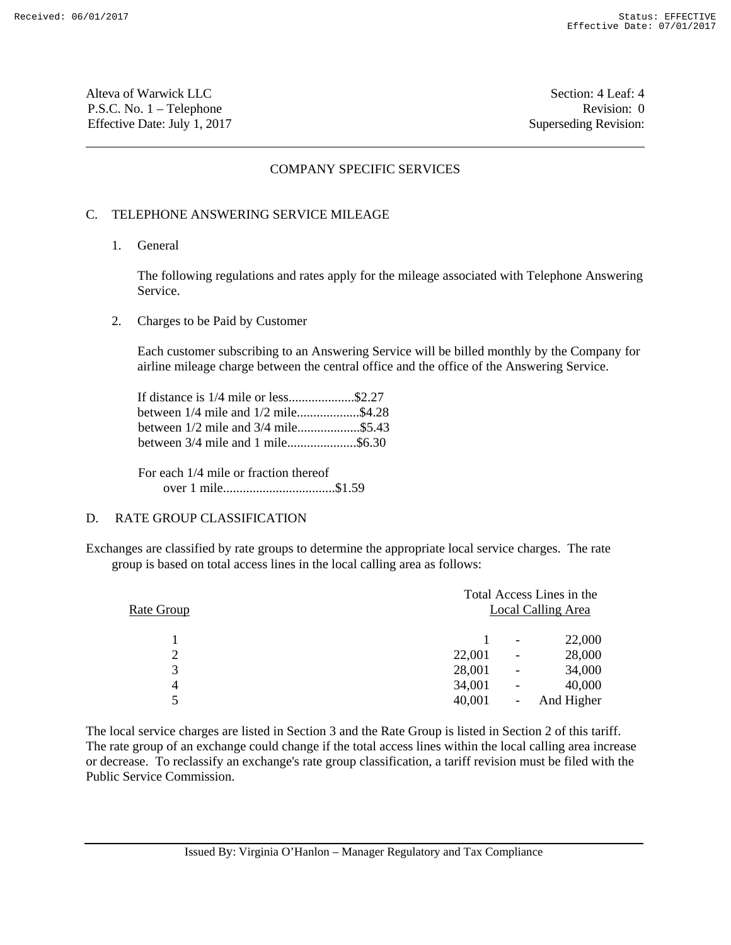Alteva of Warwick LLC Section: 4 Leaf: 4 P.S.C. No. 1 – Telephone Revision: 0 Effective Date: July 1, 2017 Superseding Revision:

### COMPANY SPECIFIC SERVICES

### C. TELEPHONE ANSWERING SERVICE MILEAGE

1. General

 The following regulations and rates apply for the mileage associated with Telephone Answering Service.

2. Charges to be Paid by Customer

 Each customer subscribing to an Answering Service will be billed monthly by the Company for airline mileage charge between the central office and the office of the Answering Service.

 If distance is 1/4 mile or less....................\$2.27 between 1/4 mile and 1/2 mile...................\$4.28 between 1/2 mile and 3/4 mile.....................\$5.43 between 3/4 mile and 1 mile.....................\$6.30

 For each 1/4 mile or fraction thereof over 1 mile..................................\$1.59

# D. RATE GROUP CLASSIFICATION

Exchanges are classified by rate groups to determine the appropriate local service charges. The rate group is based on total access lines in the local calling area as follows:

| Rate Group | Total Access Lines in the |                          | Local Calling Area |
|------------|---------------------------|--------------------------|--------------------|
|            |                           | $\overline{\phantom{a}}$ | 22,000             |
| 2          | 22,001                    | -                        | 28,000             |
| 3          | 28,001                    |                          | 34,000             |
| 4          | 34,001                    | -                        | 40,000             |
| 5          | 40,001                    | -                        | And Higher         |

The local service charges are listed in Section 3 and the Rate Group is listed in Section 2 of this tariff. The rate group of an exchange could change if the total access lines within the local calling area increase or decrease. To reclassify an exchange's rate group classification, a tariff revision must be filed with the Public Service Commission.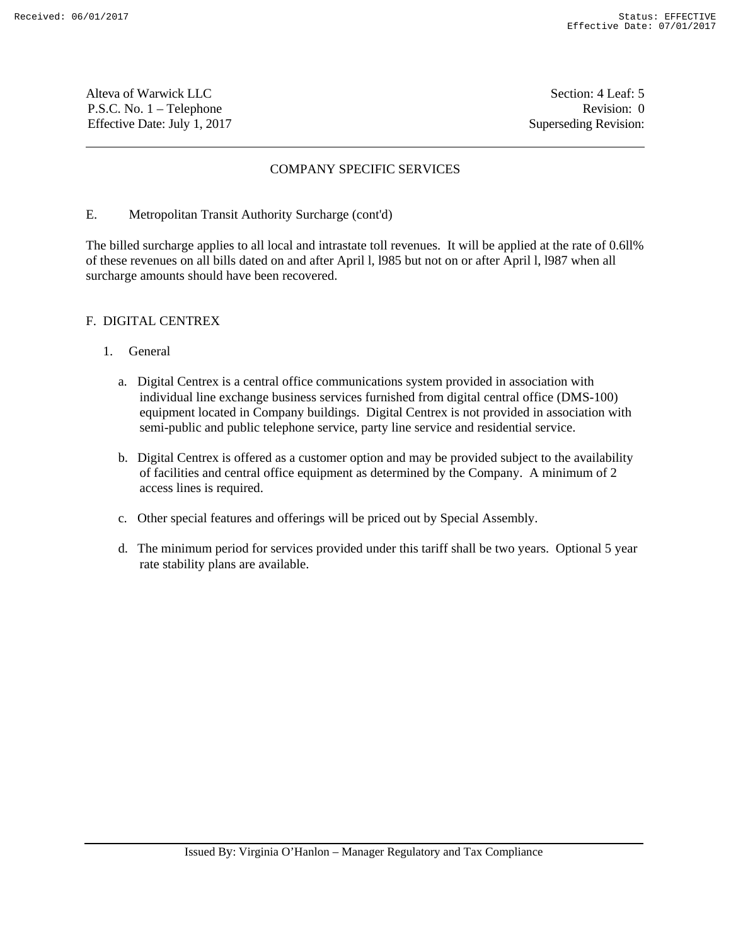Alteva of Warwick LLC Section: 4 Leaf: 5 P.S.C. No. 1 – Telephone Revision: 0 Effective Date: July 1, 2017 Superseding Revision:

# COMPANY SPECIFIC SERVICES

### E. Metropolitan Transit Authority Surcharge (cont'd)

The billed surcharge applies to all local and intrastate toll revenues. It will be applied at the rate of 0.6ll% of these revenues on all bills dated on and after April l, l985 but not on or after April l, l987 when all surcharge amounts should have been recovered.

# F. DIGITAL CENTREX

# 1. General

- a. Digital Centrex is a central office communications system provided in association with individual line exchange business services furnished from digital central office (DMS-100) equipment located in Company buildings. Digital Centrex is not provided in association with semi-public and public telephone service, party line service and residential service.
- b. Digital Centrex is offered as a customer option and may be provided subject to the availability of facilities and central office equipment as determined by the Company. A minimum of 2 access lines is required.
- c. Other special features and offerings will be priced out by Special Assembly.
- d. The minimum period for services provided under this tariff shall be two years. Optional 5 year rate stability plans are available.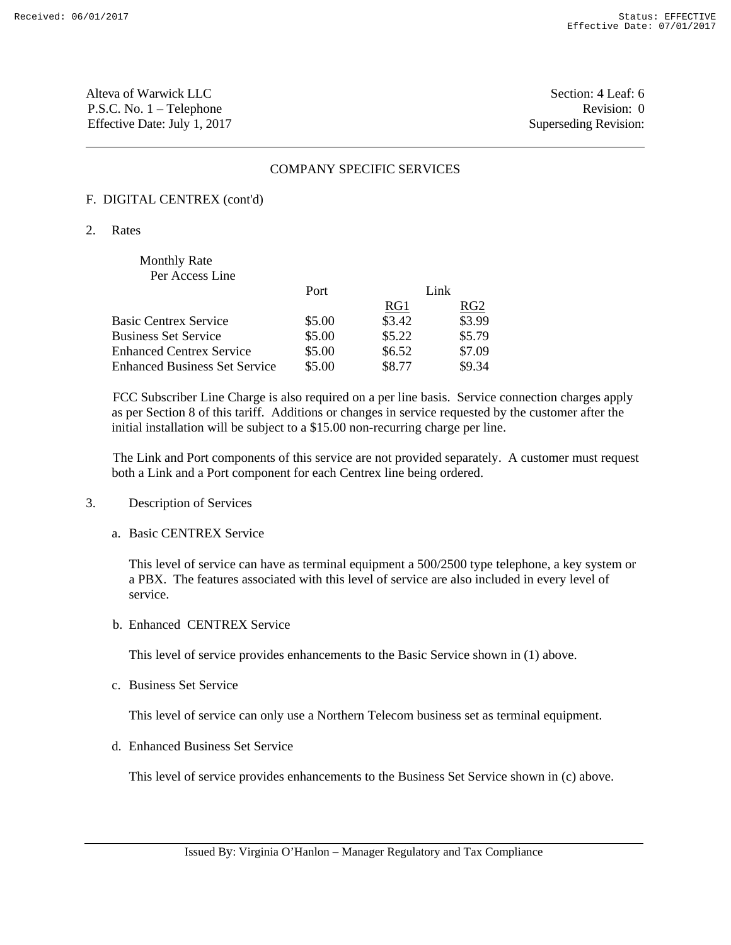Alteva of Warwick LLC Section: 4 Leaf: 6 P.S.C. No. 1 – Telephone Revision: 0 Effective Date: July 1, 2017 Superseding Revision:

### COMPANY SPECIFIC SERVICES

# F. DIGITAL CENTREX (cont'd)

2. Rates

# Monthly Rate Per Access Line Port Link RG1 RG2 Basic Centrex Service  $$5.00$   $$3.42$   $$3.99$ Business Set Service  $$5.00$   $$5.22$   $$5.79$ Enhanced Centrex Service  $$5.00$   $$6.52$  \$7.09

Enhanced Business Set Service \$5.00 \$8.77 \$9.34

FCC Subscriber Line Charge is also required on a per line basis. Service connection charges apply as per Section 8 of this tariff. Additions or changes in service requested by the customer after the initial installation will be subject to a \$15.00 non-recurring charge per line.

The Link and Port components of this service are not provided separately. A customer must request both a Link and a Port component for each Centrex line being ordered.

- 3. Description of Services
	- a. Basic CENTREX Service

 This level of service can have as terminal equipment a 500/2500 type telephone, a key system or a PBX. The features associated with this level of service are also included in every level of service.

b. Enhanced CENTREX Service

This level of service provides enhancements to the Basic Service shown in (1) above.

c. Business Set Service

This level of service can only use a Northern Telecom business set as terminal equipment.

d. Enhanced Business Set Service

This level of service provides enhancements to the Business Set Service shown in (c) above.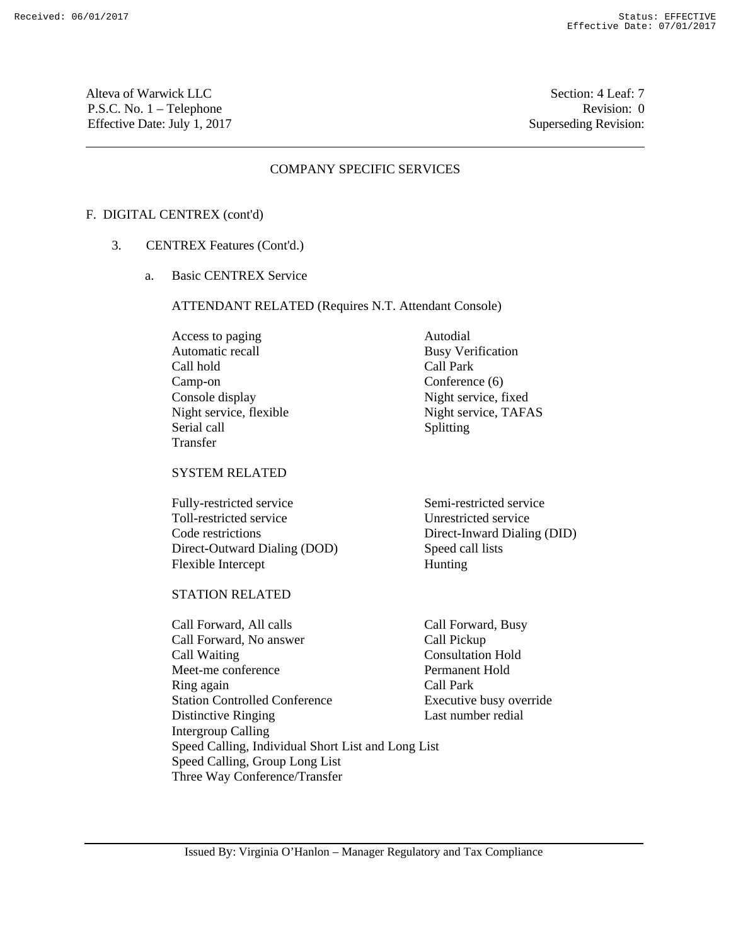Alteva of Warwick LLC Section: 4 Leaf: 7 P.S.C. No. 1 – Telephone Revision: 0 Effective Date: July 1, 2017 Superseding Revision:

### COMPANY SPECIFIC SERVICES

#### F. DIGITAL CENTREX (cont'd)

- 3. CENTREX Features (Cont'd.)
	- a. Basic CENTREX Service

ATTENDANT RELATED (Requires N.T. Attendant Console)

Access to paging Autodial Automatic recall Busy Verification Call hold Call Park Camp-on Conference (6) Console display Night service, fixed Night service, flexible Night service, TAFAS<br>Serial call Splitting Transfer

# SYSTEM RELATED

Fully-restricted service Semi-restricted service Toll-restricted service Unrestricted service Code restrictions Direct-Inward Dialing (DID) Direct-Outward Dialing (DOD) Speed call lists Flexible Intercept Hunting

# STATION RELATED

Call Forward, All calls Call Forward, Busy Call Forward, No answer Call Pickup Call Waiting Consultation Hold Meet-me conference Permanent Hold Ring again Call Park Station Controlled Conference Executive busy override Distinctive Ringing Last number redial Intergroup Calling Speed Calling, Individual Short List and Long List Speed Calling, Group Long List Three Way Conference/Transfer

Splitting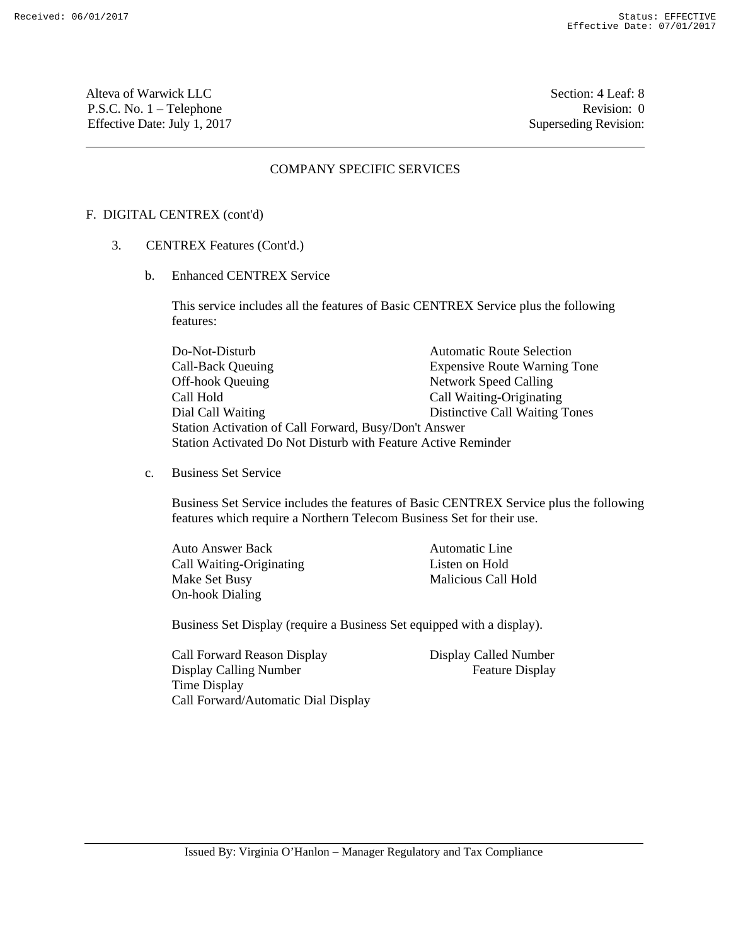Alteva of Warwick LLC Section: 4 Leaf: 8 P.S.C. No. 1 – Telephone Revision: 0 Effective Date: July 1, 2017 Superseding Revision:

### COMPANY SPECIFIC SERVICES

#### F. DIGITAL CENTREX (cont'd)

- 3. CENTREX Features (Cont'd.)
	- b. Enhanced CENTREX Service

This service includes all the features of Basic CENTREX Service plus the following features:

Do-Not-Disturb Automatic Route Selection Call-Back Queuing **Expensive Route Warning Tone** Off-hook Queuing Network Speed Calling Call Hold Call Waiting-Originating Dial Call Waiting Distinctive Call Waiting Tones Station Activation of Call Forward, Busy/Don't Answer Station Activated Do Not Disturb with Feature Active Reminder

c. Business Set Service

Business Set Service includes the features of Basic CENTREX Service plus the following features which require a Northern Telecom Business Set for their use.

Auto Answer Back Automatic Line Call Waiting-Originating Listen on Hold Make Set Busy Malicious Call Hold On-hook Dialing

Business Set Display (require a Business Set equipped with a display).

Call Forward Reason Display Display Called Number Display Calling Number Feature Display Time Display Call Forward/Automatic Dial Display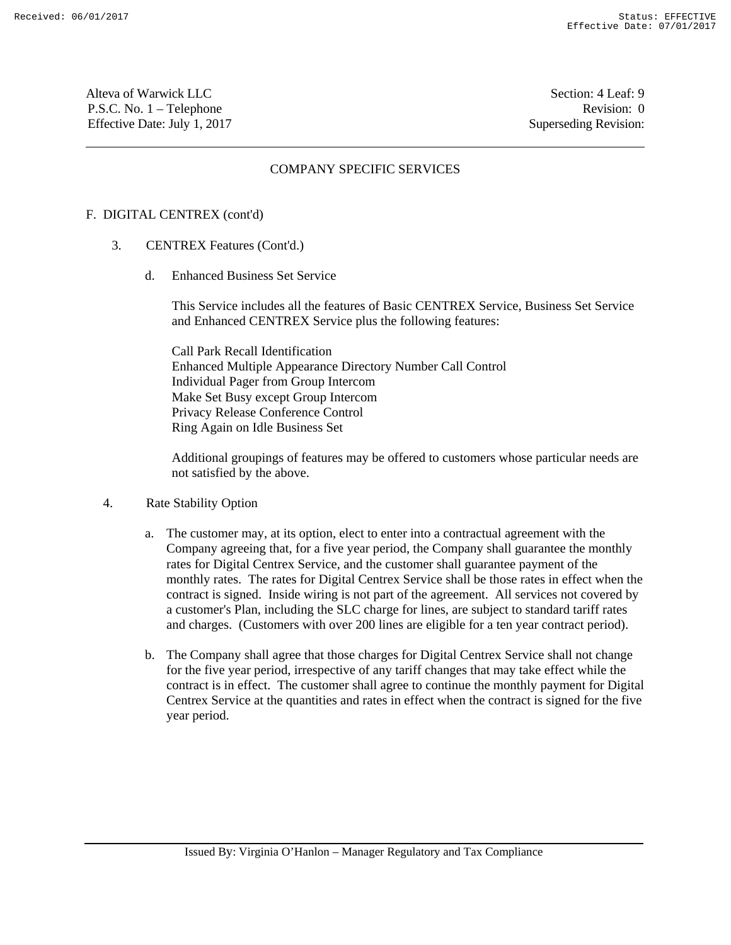Alteva of Warwick LLC Section: 4 Leaf: 9 P.S.C. No. 1 – Telephone Revision: 0 Effective Date: July 1, 2017 Superseding Revision:

# COMPANY SPECIFIC SERVICES

### F. DIGITAL CENTREX (cont'd)

- 3. CENTREX Features (Cont'd.)
	- d. Enhanced Business Set Service

This Service includes all the features of Basic CENTREX Service, Business Set Service and Enhanced CENTREX Service plus the following features:

Call Park Recall Identification Enhanced Multiple Appearance Directory Number Call Control Individual Pager from Group Intercom Make Set Busy except Group Intercom Privacy Release Conference Control Ring Again on Idle Business Set

Additional groupings of features may be offered to customers whose particular needs are not satisfied by the above.

### 4. Rate Stability Option

- a. The customer may, at its option, elect to enter into a contractual agreement with the Company agreeing that, for a five year period, the Company shall guarantee the monthly rates for Digital Centrex Service, and the customer shall guarantee payment of the monthly rates. The rates for Digital Centrex Service shall be those rates in effect when the contract is signed. Inside wiring is not part of the agreement. All services not covered by a customer's Plan, including the SLC charge for lines, are subject to standard tariff rates and charges. (Customers with over 200 lines are eligible for a ten year contract period).
- b. The Company shall agree that those charges for Digital Centrex Service shall not change for the five year period, irrespective of any tariff changes that may take effect while the contract is in effect. The customer shall agree to continue the monthly payment for Digital Centrex Service at the quantities and rates in effect when the contract is signed for the five year period.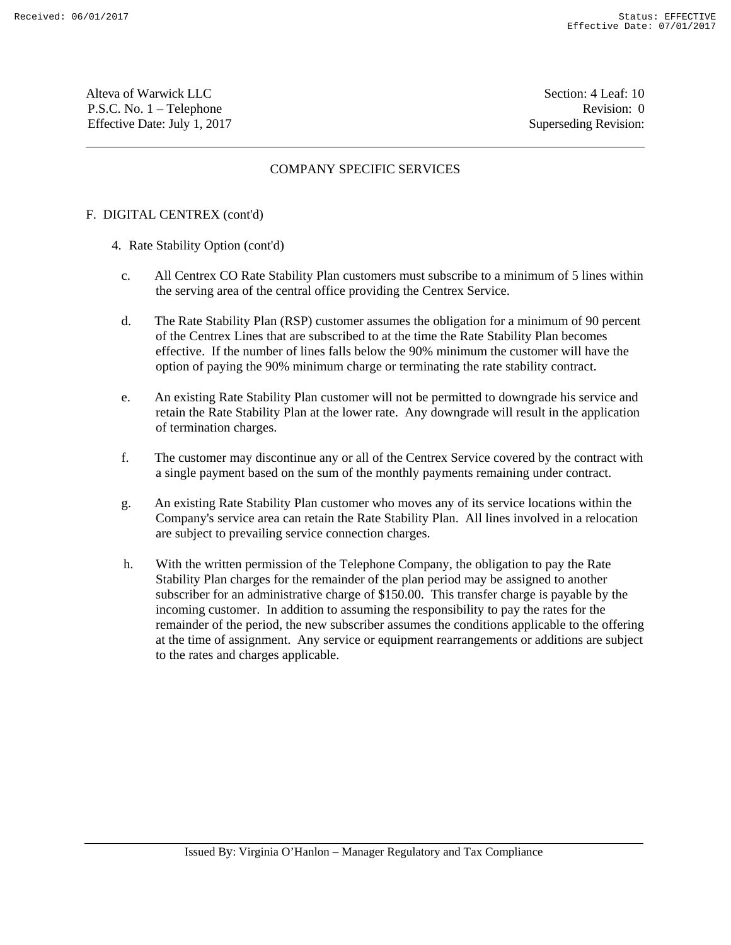Alteva of Warwick LLC Section: 4 Leaf: 10 P.S.C. No. 1 – Telephone Revision: 0 Effective Date: July 1, 2017 Superseding Revision:

# COMPANY SPECIFIC SERVICES

### F. DIGITAL CENTREX (cont'd)

- 4. Rate Stability Option (cont'd)
	- c. All Centrex CO Rate Stability Plan customers must subscribe to a minimum of 5 lines within the serving area of the central office providing the Centrex Service.
	- d. The Rate Stability Plan (RSP) customer assumes the obligation for a minimum of 90 percent of the Centrex Lines that are subscribed to at the time the Rate Stability Plan becomes effective. If the number of lines falls below the 90% minimum the customer will have the option of paying the 90% minimum charge or terminating the rate stability contract.
	- e. An existing Rate Stability Plan customer will not be permitted to downgrade his service and retain the Rate Stability Plan at the lower rate. Any downgrade will result in the application of termination charges.
	- f. The customer may discontinue any or all of the Centrex Service covered by the contract with a single payment based on the sum of the monthly payments remaining under contract.
	- g. An existing Rate Stability Plan customer who moves any of its service locations within the Company's service area can retain the Rate Stability Plan. All lines involved in a relocation are subject to prevailing service connection charges.
	- h. With the written permission of the Telephone Company, the obligation to pay the Rate Stability Plan charges for the remainder of the plan period may be assigned to another subscriber for an administrative charge of \$150.00. This transfer charge is payable by the incoming customer. In addition to assuming the responsibility to pay the rates for the remainder of the period, the new subscriber assumes the conditions applicable to the offering at the time of assignment. Any service or equipment rearrangements or additions are subject to the rates and charges applicable.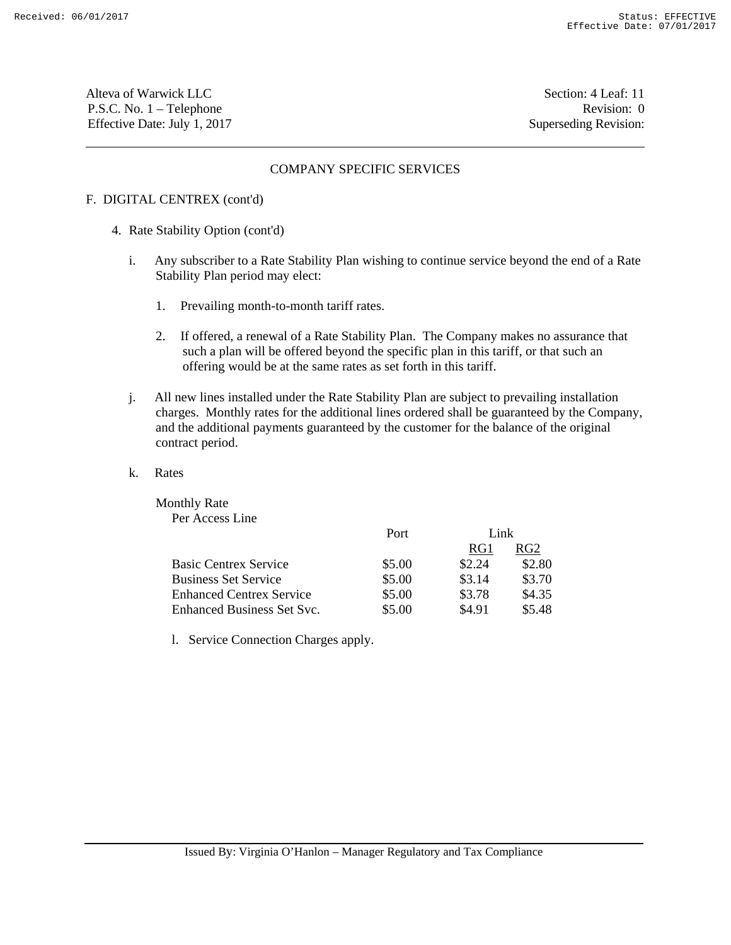Alteva of Warwick LLC Section: 4 Leaf: 11 P.S.C. No. 1 – Telephone Revision: 0 Effective Date: July 1, 2017 Superseding Revision:

### COMPANY SPECIFIC SERVICES

# F. DIGITAL CENTREX (cont'd)

- 4. Rate Stability Option (cont'd)
	- i. Any subscriber to a Rate Stability Plan wishing to continue service beyond the end of a Rate Stability Plan period may elect:
		- 1. Prevailing month-to-month tariff rates.
		- 2. If offered, a renewal of a Rate Stability Plan. The Company makes no assurance that such a plan will be offered beyond the specific plan in this tariff, or that such an offering would be at the same rates as set forth in this tariff.
	- j. All new lines installed under the Rate Stability Plan are subject to prevailing installation charges. Monthly rates for the additional lines ordered shall be guaranteed by the Company, and the additional payments guaranteed by the customer for the balance of the original contract period.
	- k. Rates

Monthly Rate Per Access Line

|                                 | Port   |        | Link   |  |
|---------------------------------|--------|--------|--------|--|
|                                 |        | RG1    | RG2    |  |
| <b>Basic Centrex Service</b>    | \$5.00 | \$2.24 | \$2.80 |  |
| <b>Business Set Service</b>     | \$5.00 | \$3.14 | \$3.70 |  |
| <b>Enhanced Centrex Service</b> | \$5.00 | \$3.78 | \$4.35 |  |
| Enhanced Business Set Syc.      | \$5.00 | \$4.91 | \$5.48 |  |

l. Service Connection Charges apply.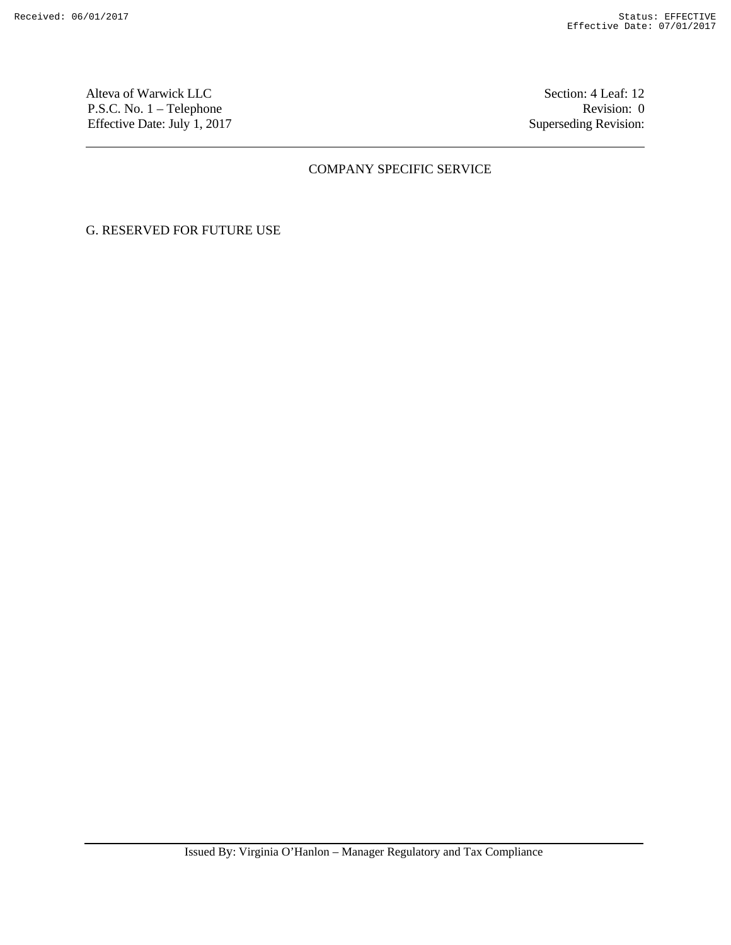Alteva of Warwick LLC Section: 4 Leaf: 12 P.S.C. No. 1 – Telephone Revision: 0 Effective Date: July 1, 2017 Superseding Revision:

# COMPANY SPECIFIC SERVICE

# G. RESERVED FOR FUTURE USE